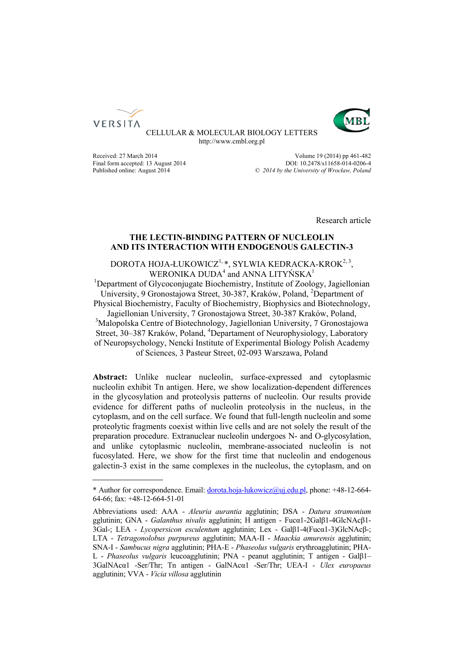



CELLULAR & MOLECULAR BIOLOGY LETTERS http://www.cmbl.org.pl

Final form accepted: 13 August 2014<br>Published online: August 2014

Received: 27 March 2014 Volume 19 (2014) pp 461-482<br>
Final form accepted: 13 August 2014 2014 DOI: 10.2478/s11658-014-0206-4 Published online: August 2014 *© 2014 by the University of Wrocław, Poland*

Research article

# **THE LECTIN-BINDING PATTERN OF NUCLEOLIN AND ITS INTERACTION WITH ENDOGENOUS GALECTIN-3**

DOROTA HOJA-ŁUKOWICZ<sup>1, \*</sup>, SYLWIA KEDRACKA-KROK<sup>2, 3</sup>, WERONIKA DUDA<sup>4</sup> and ANNA LITYŃSKA<sup>1</sup>

<sup>1</sup>Department of Glycoconjugate Biochemistry, Institute of Zoology, Jagiellonian University, 9 Gronostajowa Street, 30-387, Kraków, Poland, <sup>2</sup>Department of Physical Biochemistry, Faculty of Biochemistry, Biophysics and Biotechnology, Jagiellonian University, 7 Gronostajowa Street, 30-387 Kraków, Poland, 3 Malopolska Centre of Biotechnology, Jagiellonian University, 7 Gronostajowa Street, 30–387 Kraków, Poland, <sup>4</sup>Departament of Neurophysiology, Laboratory of Neuropsychology, Nencki Institute of Experimental Biology Polish Academy of Sciences, 3 Pasteur Street, 02-093 Warszawa, Poland

**Abstract:** Unlike nuclear nucleolin, surface-expressed and cytoplasmic nucleolin exhibit Tn antigen. Here, we show localization-dependent differences in the glycosylation and proteolysis patterns of nucleolin. Our results provide evidence for different paths of nucleolin proteolysis in the nucleus, in the cytoplasm, and on the cell surface. We found that full-length nucleolin and some proteolytic fragments coexist within live cells and are not solely the result of the preparation procedure. Extranuclear nucleolin undergoes N- and O-glycosylation, and unlike cytoplasmic nucleolin, membrane-associated nucleolin is not fucosylated. Here, we show for the first time that nucleolin and endogenous galectin-3 exist in the same complexes in the nucleolus, the cytoplasm, and on

<sup>\*</sup> Author for correspondence. Email: dorota.hoja-lukowicz@uj.edu.pl, phone: +48-12-664- 64-66; fax: +48-12-664-51-01

Abbreviations used: AAA - *Aleuria aurantia* agglutinin; DSA - *Datura stramonium* gglutinin; GNA - *Galanthus nivalis* agglutinin; H antigen - Fucα1-2Galβ1-4GlcNAcβ1- 3Gal-; LEA - *Lycopersicon esculentum* agglutinin; Lex - Galβ1-4(Fucα1-3)GlcNAcβ-; LTA - *Tetragonolobus purpureus* agglutinin; MAA-II - *Maackia amurensis* agglutinin; SNA-I - *Sambucus nigra* agglutinin; PHA-E - *Phaseolus vulgaris* erythroagglutinin; PHA-L - *Phaseolus vulgaris* leucoagglutinin; PNA - peanut agglutinin; T antigen - Galβ1– 3GalNAcα1 -Ser/Thr; Tn antigen - GalNAcα1 -Ser/Thr; UEA-I - *Ulex europaeus* agglutinin; VVA - *Vicia villosa* agglutinin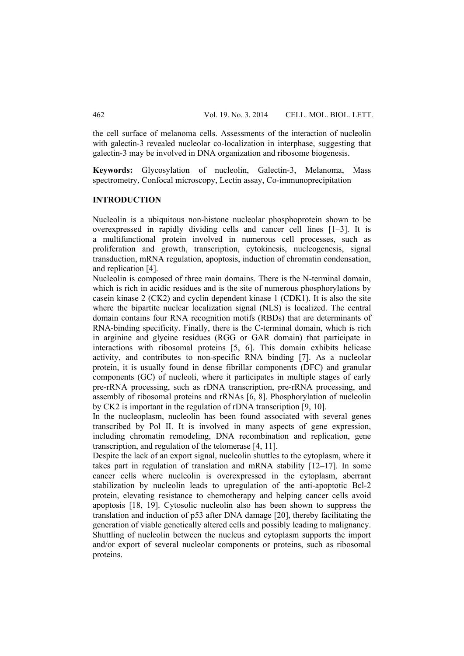the cell surface of melanoma cells. Assessments of the interaction of nucleolin with galectin-3 revealed nucleolar co-localization in interphase, suggesting that galectin-3 may be involved in DNA organization and ribosome biogenesis.

**Keywords:** Glycosylation of nucleolin, Galectin-3, Melanoma, Mass spectrometry, Confocal microscopy, Lectin assay, Co-immunoprecipitation

# **INTRODUCTION**

Nucleolin is a ubiquitous non-histone nucleolar phosphoprotein shown to be overexpressed in rapidly dividing cells and cancer cell lines [1–3]. It is a multifunctional protein involved in numerous cell processes, such as proliferation and growth, transcription, cytokinesis, nucleogenesis, signal transduction, mRNA regulation, apoptosis, induction of chromatin condensation, and replication [4].

Nucleolin is composed of three main domains. There is the N-terminal domain, which is rich in acidic residues and is the site of numerous phosphorylations by casein kinase 2 (CK2) and cyclin dependent kinase 1 (CDK1). It is also the site where the bipartite nuclear localization signal (NLS) is localized. The central domain contains four RNA recognition motifs (RBDs) that are determinants of RNA-binding specificity. Finally, there is the C-terminal domain, which is rich in arginine and glycine residues (RGG or GAR domain) that participate in interactions with ribosomal proteins [5, 6]. This domain exhibits helicase activity, and contributes to non-specific RNA binding [7]. As a nucleolar protein, it is usually found in dense fibrillar components (DFC) and granular components (GC) of nucleoli, where it participates in multiple stages of early pre-rRNA processing, such as rDNA transcription, pre-rRNA processing, and assembly of ribosomal proteins and rRNAs [6, 8]. Phosphorylation of nucleolin by CK2 is important in the regulation of rDNA transcription [9, 10].

In the nucleoplasm, nucleolin has been found associated with several genes transcribed by Pol II. It is involved in many aspects of gene expression, including chromatin remodeling, DNA recombination and replication, gene transcription, and regulation of the telomerase [4, 11].

Despite the lack of an export signal, nucleolin shuttles to the cytoplasm, where it takes part in regulation of translation and mRNA stability [12–17]. In some cancer cells where nucleolin is overexpressed in the cytoplasm, aberrant stabilization by nucleolin leads to upregulation of the anti-apoptotic Bcl-2 protein, elevating resistance to chemotherapy and helping cancer cells avoid apoptosis [18, 19]. Cytosolic nucleolin also has been shown to suppress the translation and induction of p53 after DNA damage [20], thereby facilitating the generation of viable genetically altered cells and possibly leading to malignancy. Shuttling of nucleolin between the nucleus and cytoplasm supports the import and/or export of several nucleolar components or proteins, such as ribosomal proteins.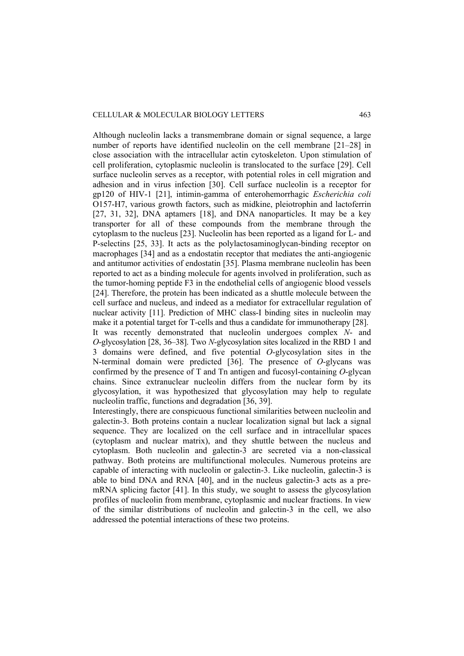Although nucleolin lacks a transmembrane domain or signal sequence, a large number of reports have identified nucleolin on the cell membrane [21–28] in close association with the intracellular actin cytoskeleton. Upon stimulation of cell proliferation, cytoplasmic nucleolin is translocated to the surface [29]. Cell surface nucleolin serves as a receptor, with potential roles in cell migration and adhesion and in virus infection [30]. Cell surface nucleolin is a receptor for gp120 of HIV-1 [21], intimin-gamma of enterohemorrhagic *Escherichia coli* O157-H7, various growth factors, such as midkine, pleiotrophin and lactoferrin [27, 31, 32], DNA aptamers [18], and DNA nanoparticles. It may be a key transporter for all of these compounds from the membrane through the cytoplasm to the nucleus [23]. Nucleolin has been reported as a ligand for L- and P-selectins [25, 33]. It acts as the polylactosaminoglycan-binding receptor on macrophages [34] and as a endostatin receptor that mediates the anti-angiogenic and antitumor activities of endostatin [35]. Plasma membrane nucleolin has been reported to act as a binding molecule for agents involved in proliferation, such as the tumor-homing peptide F3 in the endothelial cells of angiogenic blood vessels [24]. Therefore, the protein has been indicated as a shuttle molecule between the cell surface and nucleus, and indeed as a mediator for extracellular regulation of nuclear activity [11]. Prediction of MHC class-I binding sites in nucleolin may make it a potential target for T-cells and thus a candidate for immunotherapy [28]. It was recently demonstrated that nucleolin undergoes complex *N*- and *O*-glycosylation [28, 36–38]. Two *N*-glycosylation sites localized in the RBD 1 and 3 domains were defined, and five potential *O*-glycosylation sites in the N-terminal domain were predicted [36]. The presence of *O*-glycans was confirmed by the presence of T and Tn antigen and fucosyl-containing *O*-glycan chains. Since extranuclear nucleolin differs from the nuclear form by its glycosylation, it was hypothesized that glycosylation may help to regulate nucleolin traffic, functions and degradation [36, 39].

Interestingly, there are conspicuous functional similarities between nucleolin and galectin-3. Both proteins contain a nuclear localization signal but lack a signal sequence. They are localized on the cell surface and in intracellular spaces (cytoplasm and nuclear matrix), and they shuttle between the nucleus and cytoplasm. Both nucleolin and galectin-3 are secreted via a non-classical pathway. Both proteins are multifunctional molecules. Numerous proteins are capable of interacting with nucleolin or galectin-3. Like nucleolin, galectin-3 is able to bind DNA and RNA [40], and in the nucleus galectin-3 acts as a premRNA splicing factor [41]. In this study, we sought to assess the glycosylation profiles of nucleolin from membrane, cytoplasmic and nuclear fractions. In view of the similar distributions of nucleolin and galectin-3 in the cell, we also addressed the potential interactions of these two proteins.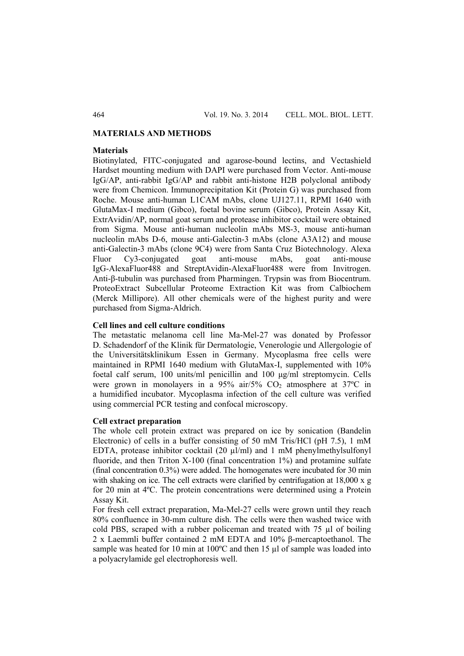# **MATERIALS AND METHODS**

# **Materials**

Biotinylated, FITC-conjugated and agarose-bound lectins, and Vectashield Hardset mounting medium with DAPI were purchased from Vector. Anti-mouse IgG/AP, anti-rabbit IgG/AP and rabbit anti-histone H2B polyclonal antibody were from Chemicon. Immunoprecipitation Kit (Protein G) was purchased from Roche. Mouse anti-human L1CAM mAbs, clone UJ127.11, RPMI 1640 with GlutaMax-I medium (Gibco), foetal bovine serum (Gibco), Protein Assay Kit, ExtrAvidin/AP, normal goat serum and protease inhibitor cocktail were obtained from Sigma. Mouse anti-human nucleolin mAbs MS-3, mouse anti-human nucleolin mAbs D-6, mouse anti-Galectin-3 mAbs (clone A3A12) and mouse anti-Galectin-3 mAbs (clone 9C4) were from Santa Cruz Biotechnology. Alexa Fluor Cy3-conjugated goat anti-mouse mAbs, goat anti-mouse IgG-AlexaFluor488 and StreptAvidin-AlexaFluor488 were from Invitrogen. Anti-β-tubulin was purchased from Pharmingen. Trypsin was from Biocentrum. ProteoExtract Subcellular Proteome Extraction Kit was from Calbiochem (Merck Millipore). All other chemicals were of the highest purity and were purchased from Sigma-Aldrich.

## **Cell lines and cell culture conditions**

The metastatic melanoma cell line Ma-Mel-27 was donated by Professor D. Schadendorf of the Klinik für Dermatologie, Venerologie und Allergologie of the Universitätsklinikum Essen in Germany. Mycoplasma free cells were maintained in RPMI 1640 medium with GlutaMax-I, supplemented with 10% foetal calf serum, 100 units/ml penicillin and 100 μg/ml streptomycin. Cells were grown in monolayers in a 95% air/5%  $CO<sub>2</sub>$  atmosphere at 37°C in a humidified incubator. Mycoplasma infection of the cell culture was verified using commercial PCR testing and confocal microscopy.

# **Cell extract preparation**

The whole cell protein extract was prepared on ice by sonication (Bandelin Electronic) of cells in a buffer consisting of 50 mM Tris/HCl (pH 7.5), 1 mM EDTA, protease inhibitor cocktail  $(20 \text{ µl/ml})$  and 1 mM phenylmethylsulfonyl fluoride, and then Triton X-100 (final concentration 1%) and protamine sulfate (final concentration 0.3%) were added. The homogenates were incubated for 30 min with shaking on ice. The cell extracts were clarified by centrifugation at 18,000 x g for 20 min at 4ºC. The protein concentrations were determined using a Protein Assay Kit.

For fresh cell extract preparation, Ma-Mel-27 cells were grown until they reach 80% confluence in 30-mm culture dish. The cells were then washed twice with cold PBS, scraped with a rubber policeman and treated with 75 µl of boiling 2 x Laemmli buffer contained 2 mM EDTA and 10% β-mercaptoethanol. The sample was heated for 10 min at 100°C and then 15 µl of sample was loaded into a polyacrylamide gel electrophoresis well.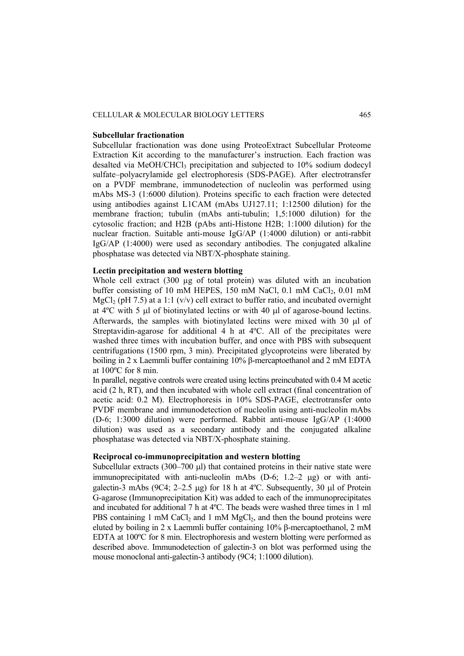## **Subcellular fractionation**

Subcellular fractionation was done using ProteoExtract Subcellular Proteome Extraction Kit according to the manufacturer's instruction. Each fraction was desalted via MeOH/CHCl<sub>3</sub> precipitation and subjected to 10% sodium dodecyl sulfate–polyacrylamide gel electrophoresis (SDS-PAGE). After electrotransfer on a PVDF membrane, immunodetection of nucleolin was performed using mAbs MS-3 (1:6000 dilution). Proteins specific to each fraction were detected using antibodies against L1CAM (mAbs UJ127.11; 1:12500 dilution) for the membrane fraction; tubulin (mAbs anti-tubulin; 1,5:1000 dilution) for the cytosolic fraction; and H2B (pAbs anti-Histone H2B; 1:1000 dilution) for the nuclear fraction. Suitable anti-mouse IgG/AP (1:4000 dilution) or anti-rabbit IgG/AP (1:4000) were used as secondary antibodies. The conjugated alkaline phosphatase was detected via NBT/X-phosphate staining.

## **Lectin precipitation and western blotting**

Whole cell extract (300 µg of total protein) was diluted with an incubation buffer consisting of 10 mM HEPES, 150 mM NaCl,  $0.1$  mM CaCl<sub>2</sub>,  $0.01$  mM  $MgCl<sub>2</sub>$  (pH 7.5) at a 1:1 (v/v) cell extract to buffer ratio, and incubated overnight at  $4^{\circ}$ C with 5 ul of biotinylated lectins or with 40 ul of agarose-bound lectins. Afterwards, the samples with biotinylated lectins were mixed with 30 µl of Streptavidin-agarose for additional 4 h at 4ºC. All of the precipitates were washed three times with incubation buffer, and once with PBS with subsequent centrifugations (1500 rpm, 3 min). Precipitated glycoproteins were liberated by boiling in 2 x Laemmli buffer containing 10% β-mercaptoethanol and 2 mM EDTA at 100ºC for 8 min.

In parallel, negative controls were created using lectins preincubated with 0.4 M acetic acid (2 h, RT), and then incubated with whole cell extract (final concentration of acetic acid: 0.2 M). Electrophoresis in 10% SDS-PAGE, electrotransfer onto PVDF membrane and immunodetection of nucleolin using anti-nucleolin mAbs (D-6; 1:3000 dilution) were performed. Rabbit anti-mouse IgG/AP (1:4000 dilution) was used as a secondary antibody and the conjugated alkaline phosphatase was detected via NBT/X-phosphate staining.

# **Reciprocal co-immunoprecipitation and western blotting**

Subcellular extracts  $(300-700 \mu l)$  that contained proteins in their native state were immunoprecipitated with anti-nucleolin mAbs  $(D-6; 1.2-2 \mu g)$  or with antigalectin-3 mAbs (9C4;  $2-2.5 \mu g$ ) for 18 h at 4°C. Subsequently, 30  $\mu$ l of Protein G-agarose (Immunoprecipitation Kit) was added to each of the immunoprecipitates and incubated for additional 7 h at 4ºC. The beads were washed three times in 1 ml PBS containing 1 mM CaCl<sub>2</sub> and 1 mM MgCl<sub>2</sub>, and then the bound proteins were eluted by boiling in 2 x Laemmli buffer containing 10% β-mercaptoethanol, 2 mM EDTA at 100ºC for 8 min. Electrophoresis and western blotting were performed as described above. Immunodetection of galectin-3 on blot was performed using the mouse monoclonal anti-galectin-3 antibody (9C4; 1:1000 dilution).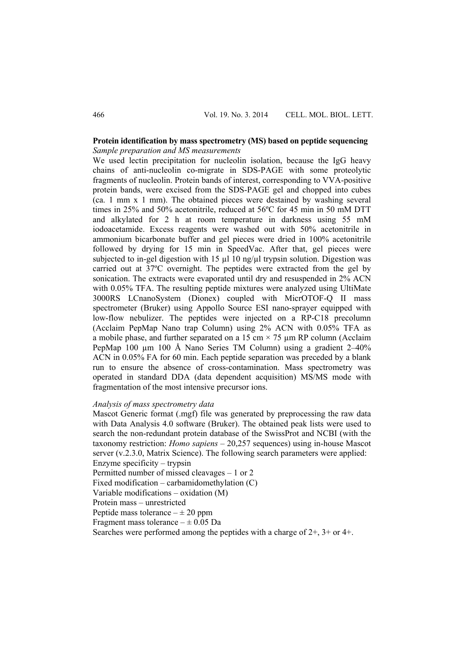# **Protein identification by mass spectrometry (MS) based on peptide sequencing**  *Sample preparation and MS measurements*

We used lectin precipitation for nucleolin isolation, because the IgG heavy chains of anti-nucleolin co-migrate in SDS-PAGE with some proteolytic fragments of nucleolin. Protein bands of interest, corresponding to VVA-positive protein bands, were excised from the SDS-PAGE gel and chopped into cubes (ca. 1 mm x 1 mm). The obtained pieces were destained by washing several times in 25% and 50% acetonitrile, reduced at 56ºC for 45 min in 50 mM DTT and alkylated for 2 h at room temperature in darkness using 55 mM iodoacetamide. Excess reagents were washed out with 50% acetonitrile in ammonium bicarbonate buffer and gel pieces were dried in 100% acetonitrile followed by drying for 15 min in SpeedVac. After that, gel pieces were subjected to in-gel digestion with  $15 \mu$  10 ng/ $\mu$ l trypsin solution. Digestion was carried out at 37ºC overnight. The peptides were extracted from the gel by sonication. The extracts were evaporated until dry and resuspended in 2% ACN with 0.05% TFA. The resulting peptide mixtures were analyzed using UltiMate 3000RS LCnanoSystem (Dionex) coupled with MicrOTOF-Q II mass spectrometer (Bruker) using Appollo Source ESI nano-sprayer equipped with low-flow nebulizer. The peptides were injected on a RP-C18 precolumn (Acclaim PepMap Nano trap Column) using 2% ACN with 0.05% TFA as a mobile phase, and further separated on a 15 cm  $\times$  75 µm RP column (Acclaim PepMap 100  $\mu$ m 100 Å Nano Series TM Column) using a gradient 2–40% ACN in 0.05% FA for 60 min. Each peptide separation was preceded by a blank run to ensure the absence of cross-contamination. Mass spectrometry was operated in standard DDA (data dependent acquisition) MS/MS mode with fragmentation of the most intensive precursor ions.

# *Analysis of mass spectrometry data*

Mascot Generic format (.mgf) file was generated by preprocessing the raw data with Data Analysis 4.0 software (Bruker). The obtained peak lists were used to search the non-redundant protein database of the SwissProt and NCBI (with the taxonomy restriction: *Homo sapiens* – 20,257 sequences) using in-house Mascot server (v.2.3.0, Matrix Science). The following search parameters were applied: Enzyme specificity – trypsin Permitted number of missed cleavages – 1 or 2 Fixed modification – carbamidomethylation (C) Variable modifications – oxidation (M) Protein mass – unrestricted Peptide mass tolerance  $-\pm 20$  ppm Fragment mass tolerance  $-\pm 0.05$  Da

Searches were performed among the peptides with a charge of 2+, 3+ or 4+.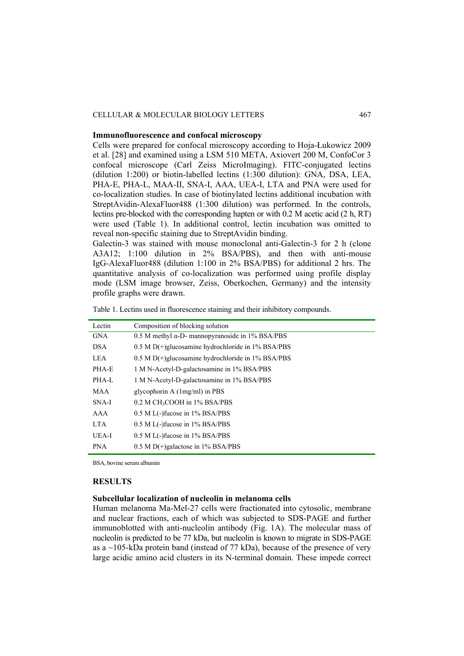#### **Immunofluorescence and confocal microscopy**

Cells were prepared for confocal microscopy according to Hoja-Łukowicz 2009 et al. [28] and examined using a LSM 510 META, Axiovert 200 M, ConfoCor 3 confocal microscope (Carl Zeiss MicroImaging). FITC-conjugated lectins (dilution 1:200) or biotin-labelled lectins (1:300 dilution): GNA, DSA, LEA, PHA-E, PHA-L, MAA-II, SNA-I, AAA, UEA-I, LTA and PNA were used for co-localization studies. In case of biotinylated lectins additional incubation with StreptAvidin-AlexaFluor488 (1:300 dilution) was performed. In the controls, lectins pre-blocked with the corresponding hapten or with 0.2 M acetic acid (2 h, RT) were used (Table 1). In additional control, lectin incubation was omitted to reveal non-specific staining due to StreptAvidin binding.

Galectin-3 was stained with mouse monoclonal anti-Galectin-3 for 2 h (clone A3A12; 1:100 dilution in 2% BSA/PBS), and then with anti-mouse IgG-AlexaFluor488 (dilution 1:100 in 2% BSA/PBS) for additional 2 hrs. The quantitative analysis of co-localization was performed using profile display mode (LSM image browser, Zeiss, Oberkochen, Germany) and the intensity profile graphs were drawn.

Table 1. Lectins used in fluorescence staining and their inhibitory compounds.

| Lectin     | Composition of blocking solution                        |
|------------|---------------------------------------------------------|
| <b>GNA</b> | 0.5 M methyl $\alpha$ -D- mannopyranoside in 1% BSA/PBS |
| <b>DSA</b> | $0.5$ M D(+)glucosamine hydrochloride in 1% BSA/PBS     |
| LEA        | $0.5$ M D(+)glucosamine hydrochloride in 1% BSA/PBS     |
| PHA-E      | 1 M N-Acetyl-D-galactosamine in 1% BSA/PBS              |
| PHA-L      | 1 M N-Acetyl-D-galactosamine in 1% BSA/PBS              |
| MAA        | glycophorin A $(1mg/ml)$ in PBS                         |
| SNA-I      | 0.2 M CH <sub>3</sub> COOH in 1% BSA/PBS                |
| AAA        | $0.5$ M L( $\rightarrow$ fucose in 1% BSA/PBS           |
| <b>LTA</b> | $0.5$ M L( $\rightarrow$ fucose in 1% BSA/PBS           |
| UEA-I      | $0.5$ M L( $\rightarrow$ fucose in 1% BSA/PBS           |
| <b>PNA</b> | $0.5$ M D(+)galactose in 1% BSA/PBS                     |

BSA, bovine serum albumin

#### **RESULTS**

# **Subcellular localization of nucleolin in melanoma cells**

Human melanoma Ma-Mel-27 cells were fractionated into cytosolic, membrane and nuclear fractions, each of which was subjected to SDS-PAGE and further immunoblotted with anti-nucleolin antibody (Fig. 1A). The molecular mass of nucleolin is predicted to be 77 kDa, but nucleolin is known to migrate in SDS-PAGE as a  $\sim$ 105-kDa protein band (instead of 77 kDa), because of the presence of very large acidic amino acid clusters in its N-terminal domain. These impede correct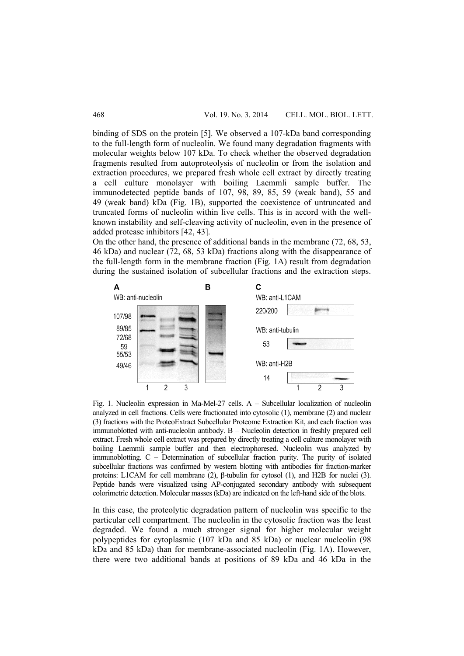binding of SDS on the protein [5]. We observed a 107-kDa band corresponding to the full-length form of nucleolin. We found many degradation fragments with molecular weights below 107 kDa. To check whether the observed degradation fragments resulted from autoproteolysis of nucleolin or from the isolation and extraction procedures, we prepared fresh whole cell extract by directly treating a cell culture monolayer with boiling Laemmli sample buffer. The immunodetected peptide bands of 107, 98, 89, 85, 59 (weak band), 55 and 49 (weak band) kDa (Fig. 1B), supported the coexistence of untruncated and truncated forms of nucleolin within live cells. This is in accord with the wellknown instability and self-cleaving activity of nucleolin, even in the presence of added protease inhibitors [42, 43].

On the other hand, the presence of additional bands in the membrane (72, 68, 53, 46 kDa) and nuclear (72, 68, 53 kDa) fractions along with the disappearance of the full-length form in the membrane fraction (Fig. 1A) result from degradation during the sustained isolation of subcellular fractions and the extraction steps.



Fig. 1. Nucleolin expression in Ma-Mel-27 cells. A – Subcellular localization of nucleolin analyzed in cell fractions. Cells were fractionated into cytosolic (1), membrane (2) and nuclear (3) fractions with the ProteoExtract Subcellular Proteome Extraction Kit, and each fraction was immunoblotted with anti-nucleolin antibody. B – Nucleolin detection in freshly prepared cell extract. Fresh whole cell extract was prepared by directly treating a cell culture monolayer with boiling Laemmli sample buffer and then electrophoresed. Nucleolin was analyzed by immunoblotting. C – Determination of subcellular fraction purity. The purity of isolated subcellular fractions was confirmed by western blotting with antibodies for fraction-marker proteins: L1CAM for cell membrane (2), β-tubulin for cytosol (1), and H2B for nuclei (3). Peptide bands were visualized using AP-conjugated secondary antibody with subsequent colorimetric detection. Molecular masses (kDa) are indicated on the left-hand side of the blots.

In this case, the proteolytic degradation pattern of nucleolin was specific to the particular cell compartment. The nucleolin in the cytosolic fraction was the least degraded. We found a much stronger signal for higher molecular weight polypeptides for cytoplasmic (107 kDa and 85 kDa) or nuclear nucleolin (98 kDa and 85 kDa) than for membrane-associated nucleolin (Fig. 1A). However, there were two additional bands at positions of 89 kDa and 46 kDa in the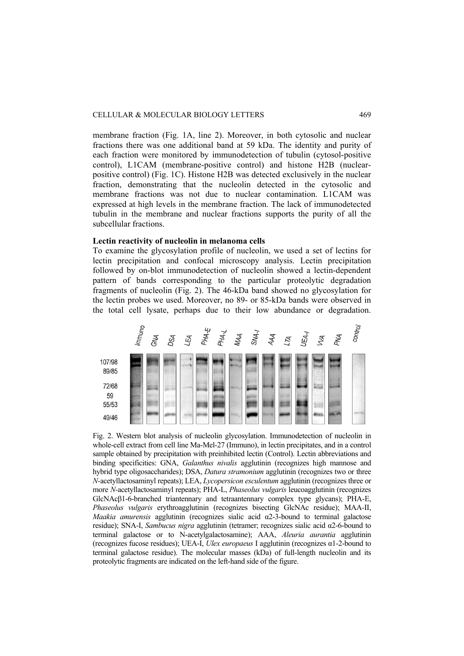membrane fraction (Fig. 1A, line 2). Moreover, in both cytosolic and nuclear fractions there was one additional band at 59 kDa. The identity and purity of each fraction were monitored by immunodetection of tubulin (cytosol-positive control), L1CAM (membrane-positive control) and histone H2B (nuclearpositive control) (Fig. 1C). Histone H2B was detected exclusively in the nuclear fraction, demonstrating that the nucleolin detected in the cytosolic and membrane fractions was not due to nuclear contamination. L1CAM was expressed at high levels in the membrane fraction. The lack of immunodetected tubulin in the membrane and nuclear fractions supports the purity of all the subcellular fractions.

## **Lectin reactivity of nucleolin in melanoma cells**

To examine the glycosylation profile of nucleolin, we used a set of lectins for lectin precipitation and confocal microscopy analysis. Lectin precipitation followed by on-blot immunodetection of nucleolin showed a lectin-dependent pattern of bands corresponding to the particular proteolytic degradation fragments of nucleolin (Fig. 2). The 46-kDa band showed no glycosylation for the lectin probes we used. Moreover, no 89- or 85-kDa bands were observed in the total cell lysate, perhaps due to their low abundance or degradation.



Fig. 2. Western blot analysis of nucleolin glycosylation. Immunodetection of nucleolin in whole-cell extract from cell line Ma-Mel-27 (Immuno), in lectin precipitates, and in a control sample obtained by precipitation with preinhibited lectin (Control). Lectin abbreviations and binding specificities: GNA, *Galanthus nivalis* agglutinin (recognizes high mannose and hybrid type oligosaccharides); DSA, *Datura stramonium* agglutinin (recognizes two or three *N-*acetyllactosaminyl repeats); LEA, *Lycopersicon esculentum* agglutinin (recognizes three or more *N-*acetyllactosaminyl repeats); PHA-L, *Phaseolus vulgaris* leucoagglutinin (recognizes GlcNAcβ1-6-branched triantennary and tetraantennary complex type glycans); PHA-E, *Phaseolus vulgaris* erythroagglutinin (recognizes bisecting GlcNAc residue); MAA-II, *Maakia amurensis* agglutinin (recognizes sialic acid α2-3-bound to terminal galactose residue); SNA-I, *Sambucus nigra* agglutinin (tetramer; recognizes sialic acid α2-6-bound to terminal galactose or to N-acetylgalactosamine); AAA, *Aleuria aurantia* agglutinin (recognizes fucose residues); UEA-I, *Ulex europaeus* I agglutinin (recognizes α1-2-bound to terminal galactose residue). The molecular masses (kDa) of full-length nucleolin and its proteolytic fragments are indicated on the left-hand side of the figure.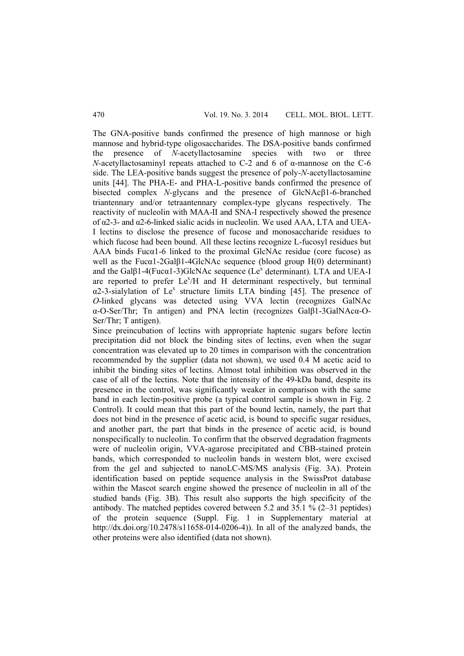The GNA-positive bands confirmed the presence of high mannose or high mannose and hybrid-type oligosaccharides. The DSA-positive bands confirmed the presence of *N-*acetyllactosamine species with two or three *N-*acetyllactosaminyl repeats attached to C-2 and 6 of α-mannose on the C-6 side. The LEA-positive bands suggest the presence of poly-*N-*acetyllactosamine units [44]. The PHA-E- and PHA-L-positive bands confirmed the presence of bisected complex *N-*glycans and the presence of GlcNAcβ1-6-branched triantennary and/or tetraantennary complex-type glycans respectively. The reactivity of nucleolin with MAA-II and SNA-I respectively showed the presence of α2-3- and α2-6-linked sialic acids in nucleolin. We used AAA, LTA and UEA-I lectins to disclose the presence of fucose and monosaccharide residues to which fucose had been bound. All these lectins recognize L-fucosyl residues but AAA binds Fucα1-6 linked to the proximal GlcNAc residue (core fucose) as well as the Fucα1-2Galβ1-4GlcNAc sequence (blood group H(0) determinant) and the Gal $\beta$ 1-4(Fuc $\alpha$ 1-3)GlcNAc sequence (Le<sup>x</sup> determinant). LTA and UEA-I are reported to prefer  $Le^{x}/H$  and  $H$  determinant respectively, but terminal  $\alpha$ 2-3-sialylation of Le<sup>x</sup> structure limits LTA binding [45]. The presence of *O*-linked glycans was detected using VVA lectin (recognizes GalNAc α-O-Ser/Thr; Tn antigen) and PNA lectin (recognizes Galβ1-3GalNAcα-O-Ser/Thr; T antigen).

Since preincubation of lectins with appropriate haptenic sugars before lectin precipitation did not block the binding sites of lectins, even when the sugar concentration was elevated up to 20 times in comparison with the concentration recommended by the supplier (data not shown), we used 0.4 M acetic acid to inhibit the binding sites of lectins. Almost total inhibition was observed in the case of all of the lectins. Note that the intensity of the 49-kDa band, despite its presence in the control, was significantly weaker in comparison with the same band in each lectin-positive probe (a typical control sample is shown in Fig. 2 Control). It could mean that this part of the bound lectin, namely, the part that does not bind in the presence of acetic acid, is bound to specific sugar residues, and another part, the part that binds in the presence of acetic acid, is bound nonspecifically to nucleolin. To confirm that the observed degradation fragments were of nucleolin origin, VVA-agarose precipitated and CBB-stained protein bands, which corresponded to nucleolin bands in western blot, were excised from the gel and subjected to nanoLC-MS/MS analysis (Fig. 3A). Protein identification based on peptide sequence analysis in the SwissProt database within the Mascot search engine showed the presence of nucleolin in all of the studied bands (Fig. 3B). This result also supports the high specificity of the antibody. The matched peptides covered between 5.2 and  $35.1\%$  (2–31 peptides) of the protein sequence (Suppl. Fig. 1 in Supplementary material at http://dx.doi.org/10.2478/s11658-014-0206-4)). In all of the analyzed bands, the other proteins were also identified (data not shown).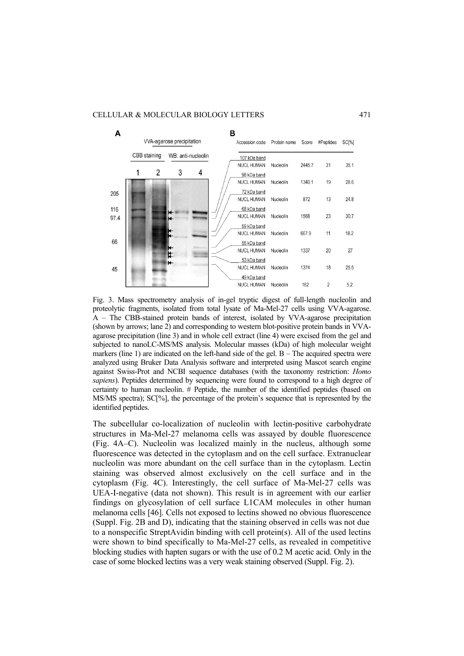

Fig. 3. Mass spectrometry analysis of in-gel tryptic digest of full-length nucleolin and proteolytic fragments, isolated from total lysate of Ma-Mel-27 cells using VVA-agarose. A – The CBB-stained protein bands of interest, isolated by VVA-agarose precipitation (shown by arrows; lane 2) and corresponding to western blot-positive protein bands in VVAagarose precipitation (line 3) and in whole cell extract (line 4) were excised from the gel and subjected to nanoLC-MS/MS analysis. Molecular masses (kDa) of high molecular weight markers (line 1) are indicated on the left-hand side of the gel.  $B -$ The acquired spectra were analyzed using Bruker Data Analysis software and interpreted using Mascot search engine against Swiss-Prot and NCBI sequence databases (with the taxonomy restriction: *Homo sapiens*). Peptides determined by sequencing were found to correspond to a high degree of certainty to human nucleolin. # Peptide, the number of the identified peptides (based on MS/MS spectra); SC[%], the percentage of the protein's sequence that is represented by the identified peptides.

The subcellular co-localization of nucleolin with lectin-positive carbohydrate structures in Ma-Mel-27 melanoma cells was assayed by double fluorescence (Fig. 4A–C). Nucleolin was localized mainly in the nucleus, although some fluorescence was detected in the cytoplasm and on the cell surface. Extranuclear nucleolin was more abundant on the cell surface than in the cytoplasm. Lectin staining was observed almost exclusively on the cell surface and in the cytoplasm (Fig. 4C). Interestingly, the cell surface of Ma-Mel-27 cells was UEA-I-negative (data not shown). This result is in agreement with our earlier findings on glycosylation of cell surface L1CAM molecules in other human melanoma cells [46]. Cells not exposed to lectins showed no obvious fluorescence (Suppl. Fig. 2B and D), indicating that the staining observed in cells was not due to a nonspecific StreptAvidin binding with cell protein(s). All of the used lectins were shown to bind specifically to Ma-Mel-27 cells, as revealed in competitive blocking studies with hapten sugars or with the use of 0.2 M acetic acid. Only in the case of some blocked lectins was a very weak staining observed (Suppl. Fig. 2).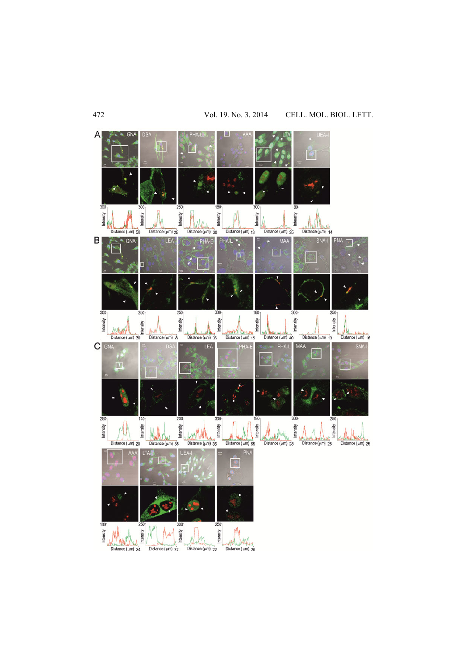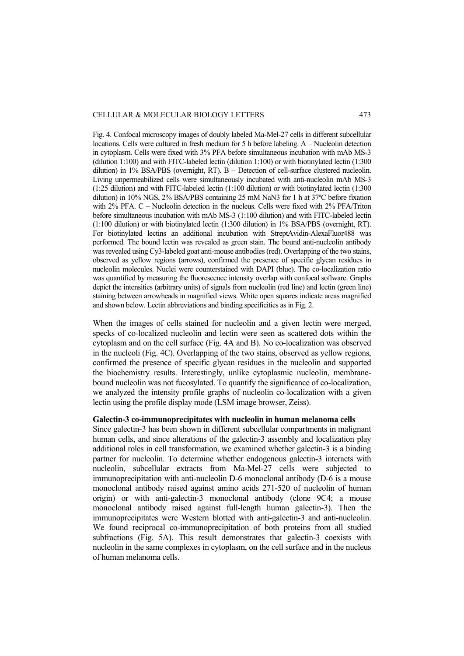Fig. 4. Confocal microscopy images of doubly labeled Ma-Mel-27 cells in different subcellular locations. Cells were cultured in fresh medium for 5 h before labeling. A – Nucleolin detection in cytoplasm. Cells were fixed with 3% PFA before simultaneous incubation with mAb MS-3 (dilution 1:100) and with FITC-labeled lectin (dilution 1:100) or with biotinylated lectin (1:300 dilution) in 1% BSA/PBS (overnight, RT). B – Detection of cell-surface clustered nucleolin. Living unpermeabilized cells were simultaneously incubated with anti-nucleolin mAb MS-3 (1:25 dilution) and with FITC-labeled lectin (1:100 dilution) or with biotinylated lectin (1:300 dilution) in 10% NGS, 2% BSA/PBS containing 25 mM NaN3 for 1 h at 37ºC before fixation with 2% PFA. C – Nucleolin detection in the nucleus. Cells were fixed with 2% PFA/Triton before simultaneous incubation with mAb MS-3 (1:100 dilution) and with FITC-labeled lectin (1:100 dilution) or with biotinylated lectin (1:300 dilution) in 1% BSA/PBS (overnight, RT). For biotinylated lectins an additional incubation with StreptAvidin-AlexaFluor488 was performed. The bound lectin was revealed as green stain. The bound anti-nucleolin antibody was revealed using Cy3-labeled goat anti-mouse antibodies (red). Overlapping of the two stains, observed as yellow regions (arrows), confirmed the presence of specific glycan residues in nucleolin molecules. Nuclei were counterstained with DAPI (blue). The co-localization ratio was quantified by measuring the fluorescence intensity overlap with confocal software. Graphs depict the intensities (arbitrary units) of signals from nucleolin (red line) and lectin (green line) staining between arrowheads in magnified views. White open squares indicate areas magnified and shown below. Lectin abbreviations and binding specificities as in Fig. 2.

When the images of cells stained for nucleolin and a given lectin were merged, specks of co-localized nucleolin and lectin were seen as scattered dots within the cytoplasm and on the cell surface (Fig. 4A and B). No co-localization was observed in the nucleoli (Fig. 4C). Overlapping of the two stains, observed as yellow regions, confirmed the presence of specific glycan residues in the nucleolin and supported the biochemistry results. Interestingly, unlike cytoplasmic nucleolin, membranebound nucleolin was not fucosylated. To quantify the significance of co-localization, we analyzed the intensity profile graphs of nucleolin co-localization with a given lectin using the profile display mode (LSM image browser, Zeiss).

# **Galectin-3 co-immunoprecipitates with nucleolin in human melanoma cells**

Since galectin-3 has been shown in different subcellular compartments in malignant human cells, and since alterations of the galectin-3 assembly and localization play additional roles in cell transformation, we examined whether galectin-3 is a binding partner for nucleolin. To determine whether endogenous galectin-3 interacts with nucleolin, subcellular extracts from Ma-Mel-27 cells were subjected to immunoprecipitation with anti-nucleolin D-6 monoclonal antibody (D-6 is a mouse monoclonal antibody raised against amino acids 271-520 of nucleolin of human origin) or with anti-galectin-3 monoclonal antibody (clone 9C4; a mouse monoclonal antibody raised against full-length human galectin-3). Then the immunoprecipitates were Western blotted with anti-galectin-3 and anti-nucleolin. We found reciprocal co-immunoprecipitation of both proteins from all studied subfractions (Fig. 5A). This result demonstrates that galectin-3 coexists with nucleolin in the same complexes in cytoplasm, on the cell surface and in the nucleus of human melanoma cells.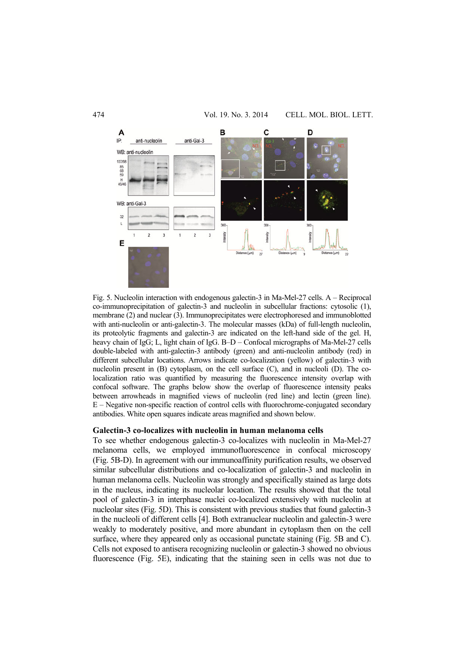

Fig. 5. Nucleolin interaction with endogenous galectin-3 in Ma-Mel-27 cells. A – Reciprocal co-immunoprecipitation of galectin-3 and nucleolin in subcellular fractions: cytosolic (1), membrane (2) and nuclear (3). Immunoprecipitates were electrophoresed and immunoblotted with anti-nucleolin or anti-galectin-3. The molecular masses (kDa) of full-length nucleolin, its proteolytic fragments and galectin-3 are indicated on the left-hand side of the gel. H, heavy chain of IgG; L, light chain of IgG. B–D – Confocal micrographs of Ma-Mel-27 cells double-labeled with anti-galectin-3 antibody (green) and anti-nucleolin antibody (red) in different subcellular locations. Arrows indicate co-localization (yellow) of galectin-3 with nucleolin present in (B) cytoplasm, on the cell surface (C), and in nucleoli (D). The colocalization ratio was quantified by measuring the fluorescence intensity overlap with confocal software. The graphs below show the overlap of fluorescence intensity peaks between arrowheads in magnified views of nucleolin (red line) and lectin (green line). E – Negative non-specific reaction of control cells with fluorochrome-conjugated secondary antibodies. White open squares indicate areas magnified and shown below.

# **Galectin-3 co-localizes with nucleolin in human melanoma cells**

To see whether endogenous galectin-3 co-localizes with nucleolin in Ma-Mel-27 melanoma cells, we employed immunofluorescence in confocal microscopy (Fig. 5B-D). In agreement with our immunoaffinity purification results, we observed similar subcellular distributions and co-localization of galectin-3 and nucleolin in human melanoma cells. Nucleolin was strongly and specifically stained as large dots in the nucleus, indicating its nucleolar location. The results showed that the total pool of galectin-3 in interphase nuclei co-localized extensively with nucleolin at nucleolar sites (Fig. 5D). This is consistent with previous studies that found galectin-3 in the nucleoli of different cells [4]. Both extranuclear nucleolin and galectin-3 were weakly to moderately positive, and more abundant in cytoplasm then on the cell surface, where they appeared only as occasional punctate staining (Fig. 5B and C). Cells not exposed to antisera recognizing nucleolin or galectin-3 showed no obvious fluorescence (Fig. 5E), indicating that the staining seen in cells was not due to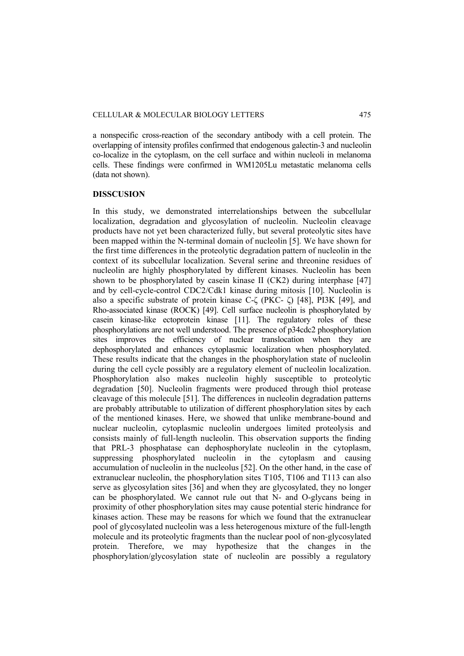a nonspecific cross-reaction of the secondary antibody with a cell protein. The overlapping of intensity profiles confirmed that endogenous galectin-3 and nucleolin co-localize in the cytoplasm, on the cell surface and within nucleoli in melanoma cells. These findings were confirmed in WM1205Lu metastatic melanoma cells (data not shown).

#### **DISSCUSION**

In this study, we demonstrated interrelationships between the subcellular localization, degradation and glycosylation of nucleolin. Nucleolin cleavage products have not yet been characterized fully, but several proteolytic sites have been mapped within the N-terminal domain of nucleolin [5]. We have shown for the first time differences in the proteolytic degradation pattern of nucleolin in the context of its subcellular localization. Several serine and threonine residues of nucleolin are highly phosphorylated by different kinases. Nucleolin has been shown to be phosphorylated by casein kinase II (CK2) during interphase [47] and by cell-cycle-control CDC2/Cdk1 kinase during mitosis [10]. Nucleolin is also a specific substrate of protein kinase C-ζ (PKC- ζ) [48], PI3K [49], and Rho-associated kinase (ROCK) [49]. Cell surface nucleolin is phosphorylated by casein kinase-like ectoprotein kinase [11]. The regulatory roles of these phosphorylations are not well understood. The presence of p34cdc2 phosphorylation sites improves the efficiency of nuclear translocation when they are dephosphorylated and enhances cytoplasmic localization when phosphorylated. These results indicate that the changes in the phosphorylation state of nucleolin during the cell cycle possibly are a regulatory element of nucleolin localization. Phosphorylation also makes nucleolin highly susceptible to proteolytic degradation [50]. Nucleolin fragments were produced through thiol protease cleavage of this molecule [51]. The differences in nucleolin degradation patterns are probably attributable to utilization of different phosphorylation sites by each of the mentioned kinases. Here, we showed that unlike membrane-bound and nuclear nucleolin, cytoplasmic nucleolin undergoes limited proteolysis and consists mainly of full-length nucleolin. This observation supports the finding that PRL-3 phosphatase can dephosphorylate nucleolin in the cytoplasm, suppressing phosphorylated nucleolin in the cytoplasm and causing accumulation of nucleolin in the nucleolus [52]. On the other hand, in the case of extranuclear nucleolin, the phosphorylation sites T105, T106 and T113 can also serve as glycosylation sites [36] and when they are glycosylated, they no longer can be phosphorylated. We cannot rule out that N- and O-glycans being in proximity of other phosphorylation sites may cause potential steric hindrance for kinases action. These may be reasons for which we found that the extranuclear pool of glycosylated nucleolin was a less heterogenous mixture of the full-length molecule and its proteolytic fragments than the nuclear pool of non-glycosylated protein. Therefore, we may hypothesize that the changes in the phosphorylation/glycosylation state of nucleolin are possibly a regulatory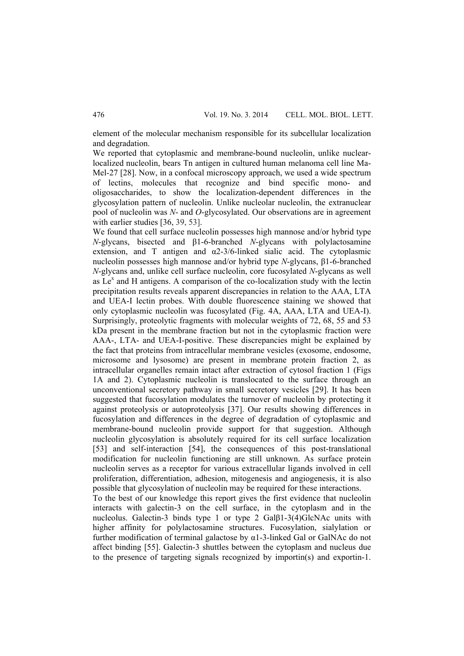element of the molecular mechanism responsible for its subcellular localization and degradation.

We reported that cytoplasmic and membrane-bound nucleolin, unlike nuclearlocalized nucleolin, bears Tn antigen in cultured human melanoma cell line Ma-Mel-27 [28]. Now, in a confocal microscopy approach, we used a wide spectrum of lectins, molecules that recognize and bind specific mono- and oligosaccharides, to show the localization-dependent differences in the glycosylation pattern of nucleolin. Unlike nucleolar nucleolin, the extranuclear pool of nucleolin was *N*- and *O*-glycosylated. Our observations are in agreement with earlier studies [36, 39, 53].

We found that cell surface nucleolin possesses high mannose and/or hybrid type *N*-glycans, bisected and β1-6-branched *N*-glycans with polylactosamine extension, and T antigen and  $\alpha$ 2-3/6-linked sialic acid. The cytoplasmic nucleolin possesses high mannose and/or hybrid type *N*-glycans, β1-6-branched *N*-glycans and, unlike cell surface nucleolin, core fucosylated *N*-glycans as well as  $Le<sup>x</sup>$  and H antigens. A comparison of the co-localization study with the lectin precipitation results reveals apparent discrepancies in relation to the AAA, LTA and UEA-I lectin probes. With double fluorescence staining we showed that only cytoplasmic nucleolin was fucosylated (Fig. 4A, AAA, LTA and UEA-I). Surprisingly, proteolytic fragments with molecular weights of 72, 68, 55 and 53 kDa present in the membrane fraction but not in the cytoplasmic fraction were AAA-, LTA- and UEA-I-positive. These discrepancies might be explained by the fact that proteins from intracellular membrane vesicles (exosome, endosome, microsome and lysosome) are present in membrane protein fraction 2, as intracellular organelles remain intact after extraction of cytosol fraction 1 (Figs 1A and 2). Cytoplasmic nucleolin is translocated to the surface through an unconventional secretory pathway in small secretory vesicles [29]. It has been suggested that fucosylation modulates the turnover of nucleolin by protecting it against proteolysis or autoproteolysis [37]. Our results showing differences in fucosylation and differences in the degree of degradation of cytoplasmic and membrane-bound nucleolin provide support for that suggestion. Although nucleolin glycosylation is absolutely required for its cell surface localization [53] and self-interaction [54], the consequences of this post-translational modification for nucleolin functioning are still unknown. As surface protein nucleolin serves as a receptor for various extracellular ligands involved in cell proliferation, differentiation, adhesion, mitogenesis and angiogenesis, it is also possible that glycosylation of nucleolin may be required for these interactions.

To the best of our knowledge this report gives the first evidence that nucleolin interacts with galectin-3 on the cell surface, in the cytoplasm and in the nucleolus. Galectin-3 binds type 1 or type 2 Galβ1-3(4)GlcNAc units with higher affinity for polylactosamine structures. Fucosylation, sialylation or further modification of terminal galactose by  $\alpha$ 1-3-linked Gal or GalNAc do not affect binding [55]. Galectin-3 shuttles between the cytoplasm and nucleus due to the presence of targeting signals recognized by importin(s) and exportin-1.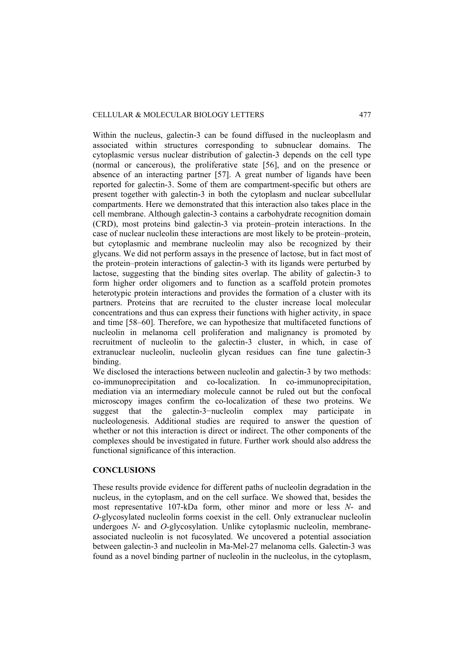Within the nucleus, galectin-3 can be found diffused in the nucleoplasm and associated within structures corresponding to subnuclear domains. The cytoplasmic versus nuclear distribution of galectin-3 depends on the cell type (normal or cancerous), the proliferative state [56], and on the presence or absence of an interacting partner [57]. A great number of ligands have been reported for galectin-3. Some of them are compartment-specific but others are present together with galectin-3 in both the cytoplasm and nuclear subcellular compartments. Here we demonstrated that this interaction also takes place in the cell membrane. Although galectin-3 contains a carbohydrate recognition domain (CRD), most proteins bind galectin-3 via protein–protein interactions. In the case of nuclear nucleolin these interactions are most likely to be protein–protein, but cytoplasmic and membrane nucleolin may also be recognized by their glycans. We did not perform assays in the presence of lactose, but in fact most of the protein–protein interactions of galectin-3 with its ligands were perturbed by lactose, suggesting that the binding sites overlap. The ability of galectin-3 to form higher order oligomers and to function as a scaffold protein promotes heterotypic protein interactions and provides the formation of a cluster with its partners. Proteins that are recruited to the cluster increase local molecular concentrations and thus can express their functions with higher activity, in space and time [58–60]. Therefore, we can hypothesize that multifaceted functions of nucleolin in melanoma cell proliferation and malignancy is promoted by recruitment of nucleolin to the galectin-3 cluster, in which, in case of extranuclear nucleolin, nucleolin glycan residues can fine tune galectin-3 binding.

We disclosed the interactions between nucleolin and galectin-3 by two methods: co-immunoprecipitation and co-localization. In co-immunoprecipitation, mediation via an intermediary molecule cannot be ruled out but the confocal microscopy images confirm the co-localization of these two proteins. We suggest that the galectin-3−nucleolin complex may participate in nucleologenesis. Additional studies are required to answer the question of whether or not this interaction is direct or indirect. The other components of the complexes should be investigated in future. Further work should also address the functional significance of this interaction.

## **CONCLUSIONS**

These results provide evidence for different paths of nucleolin degradation in the nucleus, in the cytoplasm, and on the cell surface. We showed that, besides the most representative 107-kDa form, other minor and more or less *N*- and *O*-glycosylated nucleolin forms coexist in the cell. Only extranuclear nucleolin undergoes *N*- and *O*-glycosylation. Unlike cytoplasmic nucleolin, membraneassociated nucleolin is not fucosylated. We uncovered a potential association between galectin-3 and nucleolin in Ma-Mel-27 melanoma cells. Galectin-3 was found as a novel binding partner of nucleolin in the nucleolus, in the cytoplasm,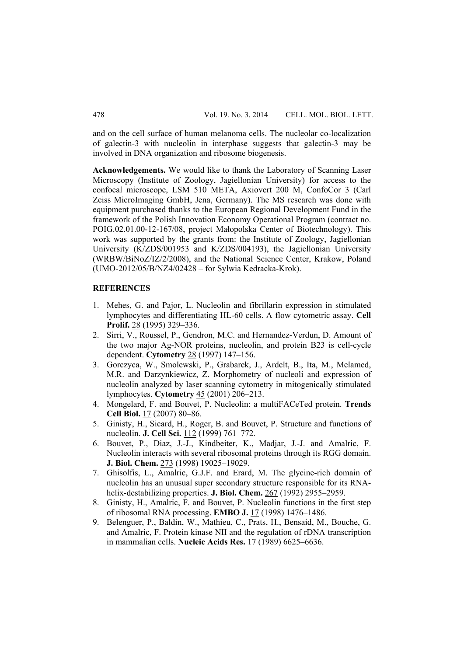and on the cell surface of human melanoma cells. The nucleolar co-localization of galectin-3 with nucleolin in interphase suggests that galectin-3 may be involved in DNA organization and ribosome biogenesis.

**Acknowledgements.** We would like to thank the Laboratory of Scanning Laser Microscopy (Institute of Zoology, Jagiellonian University) for access to the confocal microscope, LSM 510 META, Axiovert 200 M, ConfoCor 3 (Carl Zeiss MicroImaging GmbH, Jena, Germany). The MS research was done with equipment purchased thanks to the European Regional Development Fund in the framework of the Polish Innovation Economy Operational Program (contract no. POIG.02.01.00-12-167/08, project Małopolska Center of Biotechnology). This work was supported by the grants from: the Institute of Zoology, Jagiellonian University (K/ZDS/001953 and K/ZDS/004193), the Jagiellonian University (WRBW/BiNoZ/IZ/2/2008), and the National Science Center, Krakow, Poland (UMO-2012/05/B/NZ4/02428 – for Sylwia Kedracka-Krok).

# **REFERENCES**

- 1. Mehes, G. and Pajor, L. Nucleolin and fibrillarin expression in stimulated lymphocytes and differentiating HL-60 cells. A flow cytometric assay. **Cell Prolif.** 28 (1995) 329–336.
- 2. Sirri, V., Roussel, P., Gendron, M.C. and Hernandez-Verdun, D. Amount of the two major Ag-NOR proteins, nucleolin, and protein B23 is cell-cycle dependent. **Cytometry** 28 (1997) 147–156.
- 3. Gorczyca, W., Smolewski, P., Grabarek, J., Ardelt, B., Ita, M., Melamed, M.R. and Darzynkiewicz, Z. Morphometry of nucleoli and expression of nucleolin analyzed by laser scanning cytometry in mitogenically stimulated lymphocytes. **Cytometry** 45 (2001) 206–213.
- 4. Mongelard, F. and Bouvet, P. Nucleolin: a multiFACeTed protein. **Trends Cell Biol.** 17 (2007) 80–86.
- 5. Ginisty, H., Sicard, H., Roger, B. and Bouvet, P. Structure and functions of nucleolin. **J. Cell Sci.** 112 (1999) 761–772.
- 6. Bouvet, P., Diaz, J.-J., Kindbeiter, K., Madjar, J.-J. and Amalric, F. Nucleolin interacts with several ribosomal proteins through its RGG domain. **J. Biol. Chem.** 273 (1998) 19025–19029.
- 7. Ghisolfis, L., Amalric, G.J.F. and Erard, M. The glycine-rich domain of nucleolin has an unusual super secondary structure responsible for its RNAhelix-destabilizing properties. **J. Biol. Chem.** 267 (1992) 2955–2959.
- 8. Ginisty, H., Amalric, F. and Bouvet, P. Nucleolin functions in the first step of ribosomal RNA processing. **EMBO J.** 17 (1998) 1476–1486.
- 9. Belenguer, P., Baldin, W., Mathieu, C., Prats, H., Bensaid, M., Bouche, G. and Amalric, F. Protein kinase NII and the regulation of rDNA transcription in mammalian cells. **Nucleic Acids Res.** 17 (1989) 6625–6636.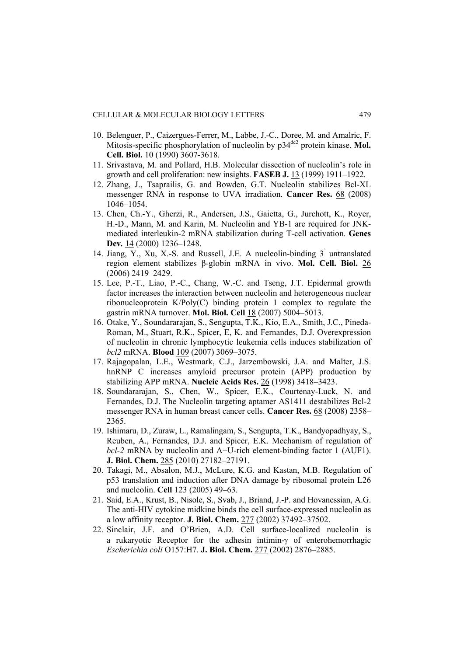- 10. Belenguer, P., Caizergues-Ferrer, M., Labbe, J.-C., Doree, M. and Amalric, F. Mitosis-specific phosphorylation of nucleolin by p34<sup>dc2</sup> protein kinase. **Mol. Cell. Biol.** 10 (1990) 3607-3618.
- 11. Srivastava, M. and Pollard, H.B. Molecular dissection of nucleolin's role in growth and cell proliferation: new insights. **FASEB J.** 13 (1999) 1911–1922.
- 12. Zhang, J., Tsaprailis, G. and Bowden, G.T. Nucleolin stabilizes Bcl-XL messenger RNA in response to UVA irradiation. **Cancer Res.** 68 (2008) 1046–1054.
- 13. Chen, Ch.-Y., Gherzi, R., Andersen, J.S., Gaietta, G., Jurchott, K., Royer, H.-D., Mann, M. and Karin, M. Nucleolin and YB-1 are required for JNKmediated interleukin-2 mRNA stabilization during T-cell activation. **Genes Dev***.* 14 (2000) 1236–1248.
- 14. Jiang, Y., Xu, X.-S. and Russell, J.E. A nucleolin-binding 3' untranslated region element stabilizes β-globin mRNA in vivo. **Mol. Cell. Biol.** 26 (2006) 2419–2429.
- 15. Lee, P.-T., Liao, P.-C., Chang, W.-C. and Tseng, J.T. Epidermal growth factor increases the interaction between nucleolin and heterogeneous nuclear ribonucleoprotein K/Poly(C) binding protein 1 complex to regulate the gastrin mRNA turnover. **Mol. Biol. Cell** 18 (2007) 5004–5013.
- 16. Otake, Y., Soundararajan, S., Sengupta, T.K., Kio, E.A., Smith, J.C., Pineda-Roman, M., Stuart, R.K., Spicer, E, K. and Fernandes, D.J. Overexpression of nucleolin in chronic lymphocytic leukemia cells induces stabilization of *bcl2* mRNA. **Blood** 109 (2007) 3069–3075.
- 17. Rajagopalan, L.E., Westmark, C.J., Jarzembowski, J.A. and Malter, J.S. hnRNP C increases amyloid precursor protein (APP) production by stabilizing APP mRNA. **Nucleic Acids Res.** 26 (1998) 3418–3423.
- 18. Soundararajan, S., Chen, W., Spicer, E.K., Courtenay-Luck, N. and Fernandes, D.J. The Nucleolin targeting aptamer AS1411 destabilizes Bcl-2 messenger RNA in human breast cancer cells. **Cancer Res.** 68 (2008) 2358– 2365.
- 19. Ishimaru, D., Zuraw, L., Ramalingam, S., Sengupta, T.K., Bandyopadhyay, S., Reuben, A., Fernandes, D.J. and Spicer, E.K. Mechanism of regulation of *bcl-2* mRNA by nucleolin and A+U-rich element-binding factor 1 (AUF1). **J. Biol. Chem.** 285 (2010) 27182–27191.
- 20. Takagi, M., Absalon, M.J., McLure, K.G. and Kastan, M.B. Regulation of p53 translation and induction after DNA damage by ribosomal protein L26 and nucleolin. **Cell** 123 (2005) 49–63.
- 21. Said, E.A., Krust, B., Nisole, S., Svab, J., Briand, J.-P. and Hovanessian, A.G. The anti-HIV cytokine midkine binds the cell surface-expressed nucleolin as a low affinity receptor. **J. Biol. Chem.** 277 (2002) 37492–37502.
- 22. Sinclair, J.F. and O'Brien, A.D. Cell surface-localized nucleolin is a rukaryotic Receptor for the adhesin intimin- $\gamma$  of enterohemorrhagic *Escherichia coli* O157:H7. **J. Biol. Chem.** 277 (2002) 2876–2885.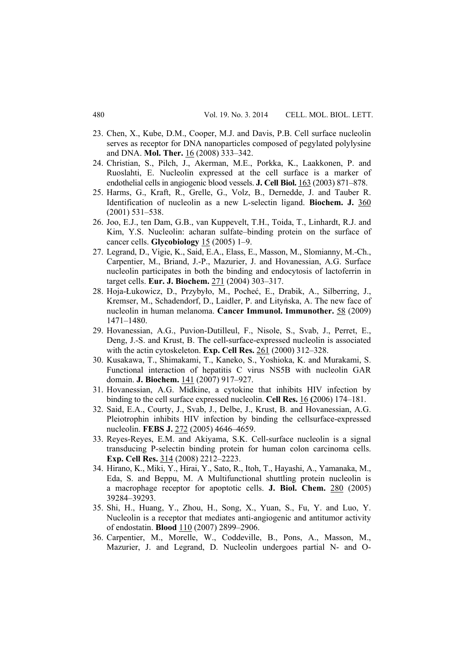- 23. Chen, X., Kube, D.M., Cooper, M.J. and Davis, P.B. Cell surface nucleolin serves as receptor for DNA nanoparticles composed of pegylated polylysine and DNA. **Mol. Ther.** 16 (2008) 333–342.
- 24. Christian, S., Pilch, J., Akerman, M.E., Porkka, K., Laakkonen, P. and Ruoslahti, E. Nucleolin expressed at the cell surface is a marker of endothelial cells in angiogenic blood vessels. **J. Cell Biol.** 163 (2003) 871–878.
- 25. Harms, G., Kraft, R., Grelle, G., Volz, B., Dernedde, J. and Tauber R. Identification of nucleolin as a new L-selectin ligand. **Biochem. J.** 360 (2001) 531–538.
- 26. Joo, E.J., ten Dam, G.B., van Kuppevelt, T.H., Toida, T., Linhardt, R.J. and Kim, Y.S. Nucleolin: acharan sulfate–binding protein on the surface of cancer cells. **Glycobiology** 15 (2005) 1–9.
- 27. Legrand, D., Vigie, K., Said, E.A., Elass, E., Masson, M., Slomianny, M.-Ch., Carpentier, M., Briand, J.-P., Mazurier, J. and Hovanessian, A.G. Surface nucleolin participates in both the binding and endocytosis of lactoferrin in target cells. **Eur. J. Biochem.** 271 (2004) 303–317.
- 28. Hoja-Łukowicz, D., Przybyło, M., Pocheć, E., Drabik, A., Silberring, J., Kremser, M., Schadendorf, D., Laidler, P. and Lityńska, A. The new face of nucleolin in human melanoma. **Cancer Immunol. Immunother.** 58 (2009) 1471–1480.
- 29. Hovanessian, A.G., Puvion-Dutilleul, F., Nisole, S., Svab, J., Perret, E., Deng, J.-S. and Krust, B. The cell-surface-expressed nucleolin is associated with the actin cytoskeleton. **Exp. Cell Res.** 261 (2000) 312–328.
- 30. Kusakawa, T., Shimakami, T., Kaneko, S., Yoshioka, K. and Murakami, S. Functional interaction of hepatitis C virus NS5B with nucleolin GAR domain. **J. Biochem.** 141 (2007) 917–927.
- 31. Hovanessian, A.G. Midkine, a cytokine that inhibits HIV infection by binding to the cell surface expressed nucleolin. **Cell Res.** 16 **(**2006) 174–181.
- 32. Said, E.A., Courty, J., Svab, J., Delbe, J., Krust, B. and Hovanessian, A.G. Pleiotrophin inhibits HIV infection by binding the cellsurface-expressed nucleolin. **FEBS J.** 272 (2005) 4646–4659.
- 33. Reyes-Reyes, E.M. and Akiyama, S.K. Cell-surface nucleolin is a signal transducing P-selectin binding protein for human colon carcinoma cells. **Exp. Cell Res.** 314 (2008) 2212–2223.
- 34. Hirano, K., Miki, Y., Hirai, Y., Sato, R., Itoh, T., Hayashi, A., Yamanaka, M., Eda, S. and Beppu, M. A Multifunctional shuttling protein nucleolin is a macrophage receptor for apoptotic cells. **J. Biol. Chem.** 280 (2005) 39284–39293.
- 35. Shi, H., Huang, Y., Zhou, H., Song, X., Yuan, S., Fu, Y. and Luo, Y. Nucleolin is a receptor that mediates anti-angiogenic and antitumor activity of endostatin. **Blood** 110 (2007) 2899–2906.
- 36. Carpentier, M., Morelle, W., Coddeville, B., Pons, A., Masson, M., Mazurier, J. and Legrand, D. Nucleolin undergoes partial N- and O-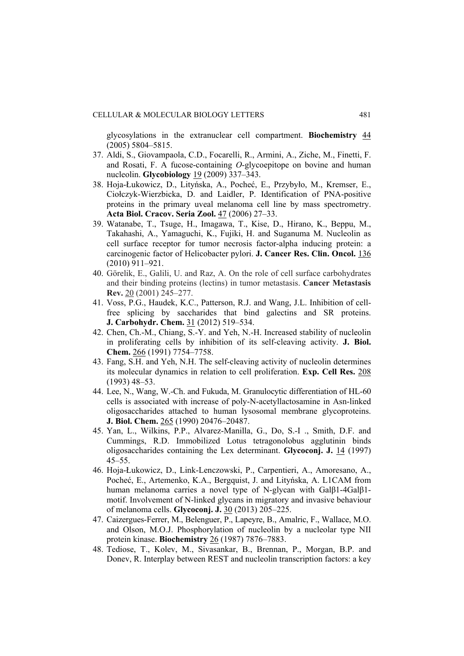glycosylations in the extranuclear cell compartment. **Biochemistry** 44 (2005) 5804–5815.

- 37. Aldi, S., Giovampaola, C.D., Focarelli, R., Armini, A., Ziche, M., Finetti, F. and Rosati, F. A fucose-containing *O*-glycoepitope on bovine and human nucleolin. **Glycobiology** 19 (2009) 337–343.
- 38. Hoja-Łukowicz, D., Lityńska, A., Pocheć, E., Przybyło, M., Kremser, E., Ciołczyk-Wierzbicka, D. and Laidler, P. Identification of PNA-positive proteins in the primary uveal melanoma cell line by mass spectrometry. **Acta Biol. Cracov. Seria Zool.** 47 (2006) 27–33.
- 39. Watanabe, T., Tsuge, H., Imagawa, T., Kise, D., Hirano, K., Beppu, M., Takahashi, A., Yamaguchi, K., Fujiki, H. and Suganuma M. Nucleolin as cell surface receptor for tumor necrosis factor-alpha inducing protein: a carcinogenic factor of Helicobacter pylori. **J. Cancer Res. Clin. Oncol.** 136 (2010) 911–921.
- 40. Görelik, E., Galili, U. and Raz, A. On the role of cell surface carbohydrates and their binding proteins (lectins) in tumor metastasis. **Cancer Metastasis Rev.** 20 (2001) 245–277.
- 41. Voss, P.G., Haudek, K.C., Patterson, R.J. and Wang, J.L. Inhibition of cellfree splicing by saccharides that bind galectins and SR proteins. **J. Carbohydr. Chem.** 31 (2012) 519–534.
- 42. Chen, Ch.-M., Chiang, S.-Y. and Yeh, N.-H. Increased stability of nucleolin in proliferating cells by inhibition of its self-cleaving activity. **J. Biol. Chem.** 266 (1991) 7754–7758.
- 43. Fang, S.H. and Yeh, N.H. The self-cleaving activity of nucleolin determines its molecular dynamics in relation to cell proliferation. **Exp. Cell Res.** 208 (1993) 48–53.
- 44. Lee, N., Wang, W.-Ch. and Fukuda, M. Granulocytic differentiation of HL-60 cells is associated with increase of poly-N-acetyllactosamine in Asn-linked oligosaccharides attached to human lysosomal membrane glycoproteins. **J. Biol. Chem.** 265 (1990) 20476–20487.
- 45. Yan, L., Wilkins, P.P., Alvarez-Manilla, G., Do, S.-I ., Smith, D.F. and Cummings, R.D. Immobilized Lotus tetragonolobus agglutinin binds oligosaccharides containing the Lex determinant. **Glycoconj. J.** 14 (1997)  $45 - 55$ .
- 46. Hoja-Łukowicz, D., Link-Lenczowski, P., Carpentieri, A., Amoresano, A., Pocheć, E., Artemenko, K.A., Bergquist, J. and Lityńska, A. L1CAM from human melanoma carries a novel type of N-glycan with Galβ1-4Galβ1 motif. Involvement of N-linked glycans in migratory and invasive behaviour of melanoma cells. **Glycoconj. J.** 30 (2013) 205–225.
- 47. Caizergues-Ferrer, M., Belenguer, P., Lapeyre, B., Amalric, F., Wallace, M.O. and Olson, M.O.J. Phosphorylation of nucleolin by a nucleolar type NII protein kinase. **Biochemistry** 26 (1987) 7876–7883.
- 48. Tediose, T., Kolev, M., Sivasankar, B., Brennan, P., Morgan, B.P. and Donev, R. Interplay between REST and nucleolin transcription factors: a key